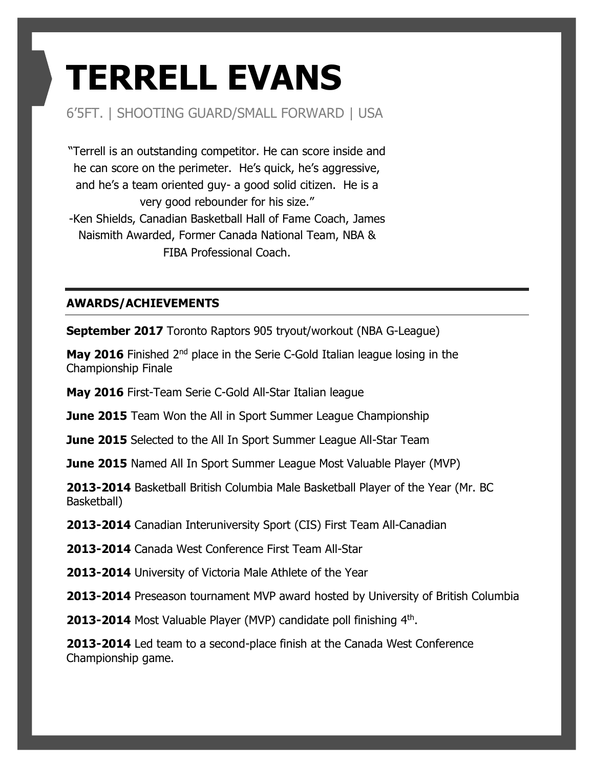# **TERRELL EVANS**

### 6'5FT. | SHOOTING GUARD/SMALL FORWARD | USA

"Terrell is an outstanding competitor. He can score inside and he can score on the perimeter. He's quick, he's aggressive, and he's a team oriented guy- a good solid citizen. He is a very good rebounder for his size." -Ken Shields, Canadian Basketball Hall of Fame Coach, James

Naismith Awarded, Former Canada National Team, NBA & FIBA Professional Coach.

#### **AWARDS/ACHIEVEMENTS**

**September 2017** Toronto Raptors 905 tryout/workout (NBA G-League)

**May 2016** Finished 2<sup>nd</sup> place in the Serie C-Gold Italian league losing in the Championship Finale

**May 2016** First-Team Serie C-Gold All-Star Italian league

**June 2015** Team Won the All in Sport Summer League Championship

**June 2015** Selected to the All In Sport Summer League All-Star Team

**June 2015** Named All In Sport Summer League Most Valuable Player (MVP)

**2013-2014** Basketball British Columbia Male Basketball Player of the Year (Mr. BC Basketball)

**2013-2014** Canadian Interuniversity Sport (CIS) First Team All-Canadian

**2013-2014** Canada West Conference First Team All-Star

**2013-2014** University of Victoria Male Athlete of the Year

**2013-2014** Preseason tournament MVP award hosted by University of British Columbia

**2013-2014** Most Valuable Player (MVP) candidate poll finishing 4<sup>th</sup>.

**2013-2014** Led team to a second-place finish at the Canada West Conference Championship game.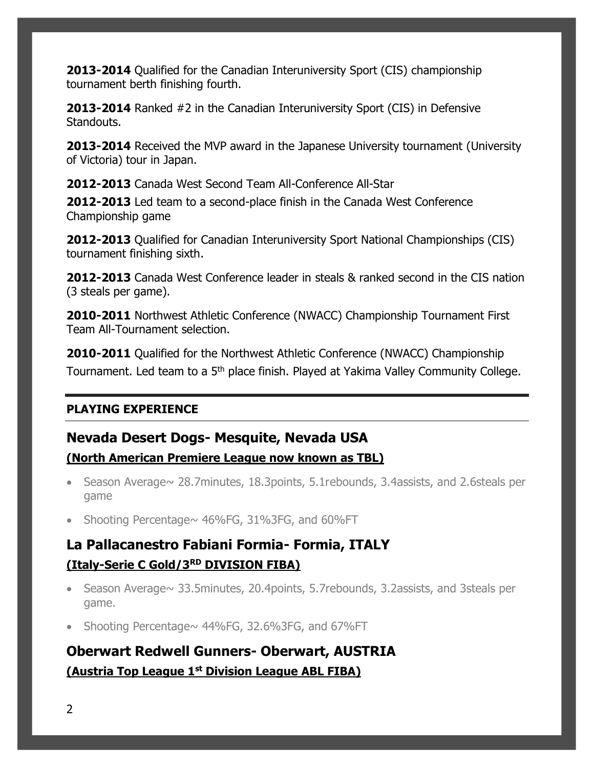**2013-2014** Qualified for the Canadian Interuniversity Sport (CIS) championship tournament berth finishing fourth.

**2013-2014** Ranked #2 in the Canadian Interuniversity Sport (CIS) in Defensive Standouts.

**2013-2014** Received the MVP award in the Japanese University tournament (University of Victoria) tour in Japan.

**2012-2013** Canada West Second Team All-Conference All-Star

**2012-2013** Led team to a second-place finish in the Canada West Conference Championship game

**2012-2013** Qualified for Canadian Interuniversity Sport National Championships (CIS) tournament finishing sixth.

**2012-2013** Canada West Conference leader in steals & ranked second in the CIS nation (3 steals per game).

**2010-2011** Northwest Athletic Conference (NWACC) Championship Tournament First Team All-Tournament selection.

**2010-2011** Qualified for the Northwest Athletic Conference (NWACC) Championship Tournament. Led team to a 5<sup>th</sup> place finish. Played at Yakima Valley Community College.

#### **PLAYING EXPERIENCE**

## **Nevada Desert Dogs- Mesquite, Nevada USA**

#### **(North American Premiere League now known as TBL)**

- Season Average $\sim$  28.7minutes, 18.3points, 5.1rebounds, 3.4assists, and 2.6steals per game
- Shooting Percentage $\sim$  46%FG, 31%3FG, and 60%FT

# **La Pallacanestro Fabiani Formia- Formia, ITALY (Italy-Serie C Gold/3RD DIVISION FIBA)**

- Season Average~ 33.5minutes, 20.4points, 5.7rebounds, 3.2assists, and 3steals per game.
- Shooting Percentage $\sim$  44%FG, 32.6%3FG, and 67%FT

# **Oberwart Redwell Gunners- Oberwart, AUSTRIA (Austria Top League 1st Division League ABL FIBA)**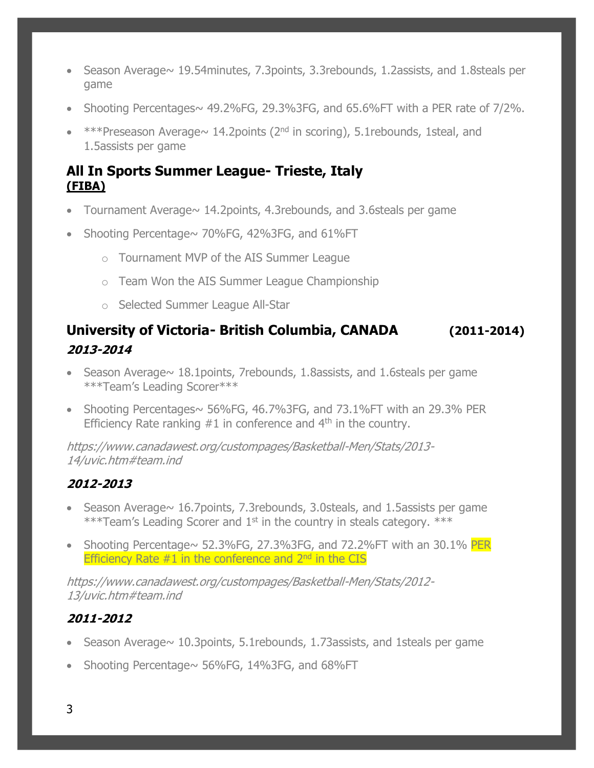- Season Average~ 19.54minutes, 7.3points, 3.3rebounds, 1.2assists, and 1.8steals per game
- Shooting Percentages $\sim$  49.2%FG, 29.3%3FG, and 65.6%FT with a PER rate of 7/2%.
- $**$ Preseason Average $\sim$  14.2 points (2<sup>nd</sup> in scoring), 5.1 rebounds, 1steal, and 1.5assists per game

#### **All In Sports Summer League- Trieste, Italy (FIBA)**

- Tournament Average $\sim$  14.2points, 4.3rebounds, and 3.6steals per game
- Shooting Percentage~ 70%FG, 42%3FG, and 61%FT
	- o Tournament MVP of the AIS Summer League
	- o Team Won the AIS Summer League Championship
	- o Selected Summer League All-Star

## **University of Victoria- British Columbia, CANADA (2011-2014) 2013-2014**

- Season Average $\sim$  18.1 points, 7 rebounds, 1.8 assists, and 1.6 steals per game \*\*\*Team's Leading Scorer\*\*\*
- Shooting Percentages $\sim$  56%FG, 46.7%3FG, and 73.1%FT with an 29.3% PER Efficiency Rate ranking  $#1$  in conference and  $4<sup>th</sup>$  in the country.

https://www.canadawest.org/custompages/Basketball-Men/Stats/2013- 14/uvic.htm#team.ind

#### **2012-2013**

- Season Average $\sim$  16.7 points, 7.3 rebounds, 3.0 steals, and 1.5 assists per game \*\*\*Team's Leading Scorer and  $1<sup>st</sup>$  in the country in steals category. \*\*\*
- Shooting Percentage $\sim$  52.3%FG, 27.3%3FG, and 72.2%FT with an 30.1% PER Efficiency Rate  $#1$  in the conference and  $2<sup>nd</sup>$  in the CIS

https://www.canadawest.org/custompages/Basketball-Men/Stats/2012- 13/uvic.htm#team.ind

#### **2011-2012**

- Season Average $\sim$  10.3 points, 5.1 rebounds, 1.73 assists, and 1 steals per game
- Shooting Percentage $\sim$  56%FG, 14%3FG, and 68%FT